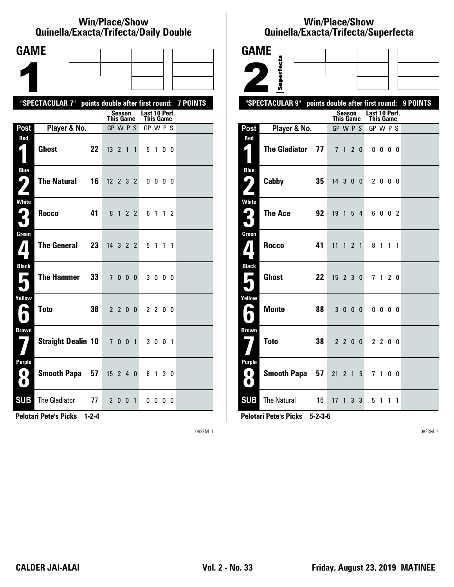#### **Win/Place/Show Qui nel la/Exacta/Tri fecta/Daily Dou ble**

| <b>GAME</b>                          |                                                  |    |                  |         |              |                                   |                          |                |                 |
|--------------------------------------|--------------------------------------------------|----|------------------|---------|--------------|-----------------------------------|--------------------------|----------------|-----------------|
|                                      |                                                  |    |                  |         |              |                                   |                          |                |                 |
|                                      |                                                  |    |                  |         |              |                                   |                          |                |                 |
|                                      | "SPECTACULAR 7" points double after first round: |    |                  |         |              |                                   |                          |                | <b>7 POINTS</b> |
|                                      |                                                  |    | <b>This Game</b> | Season  |              | Last 10 Perf.<br><b>This Game</b> |                          |                |                 |
| Post                                 | Player & No.                                     |    | GP W P S         |         |              | GP W P S                          |                          |                |                 |
| Red                                  | <b>Ghost</b>                                     | 22 | $13 \t2 \t1$     |         | $\mathbf{1}$ |                                   | 5 1                      | 0 <sub>0</sub> |                 |
| <b>Blue</b><br>5<br>$\mathbf{Z}$     | <b>The Natural</b>                               | 16 | $12 \t2 \t3 \t2$ |         |              |                                   | $0\quad 0\quad 0\quad 0$ |                |                 |
| White<br>3                           | <b>Rocco</b>                                     | 41 |                  | 8 1 2 2 |              |                                   | 6 1 1 2                  |                |                 |
| Green<br>$\mathbf{Z}$                | <b>The General</b>                               | 23 | 14 3 2 2         |         |              |                                   | 5 1 1 1                  |                |                 |
| <b>Black</b><br>$\blacksquare$       | The Hammer                                       | 33 |                  | 7000    |              |                                   | 3000                     |                |                 |
| Yellow<br>H                          | <b>Toto</b>                                      | 38 |                  | 2 2 0 0 |              |                                   | 2 2 0 0                  |                |                 |
| <b>Brown</b>                         | Straight Dealin 10 7 0 0 1                       |    |                  |         |              |                                   | 3 0 0 1                  |                |                 |
| <b>Purple</b><br>$\blacksquare$<br>0 | Smooth Papa 57                                   |    | $15$ 2 4 0       |         |              |                                   | 6 1 3 0                  |                |                 |
| <b>SUB</b>                           | <b>The Gladiator</b><br>77                       |    |                  | 2 0 0 1 |              |                                   | $0\,0\,0\,0$             |                |                 |

**Pelotari Pete's Picks 1-2-4**

0823M 1

### **Win/Place/Show Qui nel la/Exacta/Tri fecta/Super fecta**

| <b>GAME</b>                                              |                            |                                  |                |                |                |                |  |          |  |  |
|----------------------------------------------------------|----------------------------|----------------------------------|----------------|----------------|----------------|----------------|--|----------|--|--|
|                                                          | Superfecta                 |                                  |                |                |                |                |  |          |  |  |
|                                                          |                            |                                  |                |                |                |                |  |          |  |  |
|                                                          | "SPECTACULAR 9"            | points double after first round: |                |                |                |                |  | 9 POINTS |  |  |
| Last 10 Perf.<br>Season<br><b>This Game</b><br>This Game |                            |                                  |                |                |                |                |  |          |  |  |
| Post                                                     | Player & No.               | GP W P S                         |                |                | GP W P S       |                |  |          |  |  |
| Red<br>4.                                                | <b>The Gladiator</b><br>77 | 7 <sup>7</sup><br>$\mathbf{1}$   | 2 <sub>0</sub> |                | $0\,0\,0\,0$   |                |  |          |  |  |
| <b>Blue</b><br><u>( پا</u>                               | Cabby<br>35                | 14 3 0 0                         |                |                | 2000           |                |  |          |  |  |
| <b>White</b><br>$\mathbf{G}_\parallel$<br>5              | <b>The Ace</b><br>92       | 19                               | 1 5 4          |                | 6002           |                |  |          |  |  |
| Green<br>$\boldsymbol{I}$                                | <b>Rocco</b><br>41         | 11                               | $1 \t2 \t1$    |                | 8 1 1 1        |                |  |          |  |  |
| <b>Black</b><br>Е<br>٦                                   | <b>Ghost</b><br>22         | $15$ 2 3 0                       |                |                | 7 <sub>1</sub> | 2 <sub>0</sub> |  |          |  |  |
| Yellow<br>É<br>$\blacksquare$                            | <b>Monte</b><br>88         | 3000                             |                |                | $0\,0\,0\,0$   |                |  |          |  |  |
| <b>Brown</b>                                             | <b>Toto</b><br>38          | 2200                             |                |                | 2 2 0 0        |                |  |          |  |  |
| <b>Purple</b><br>0)<br>$\bullet$                         | <b>Smooth Papa</b><br>57   | 21<br>2 <sub>1</sub>             |                | 5              | 7 <sub>1</sub> | 0 <sub>0</sub> |  |          |  |  |
| <b>SUB</b>                                               | The Natural<br>16          | 17 <sup>2</sup><br>$\mathbf{1}$  | 3 <sup>1</sup> | $\overline{3}$ | 5 1 1 1        |                |  |          |  |  |

**Pelotari Pete's Picks 5-2-3-6**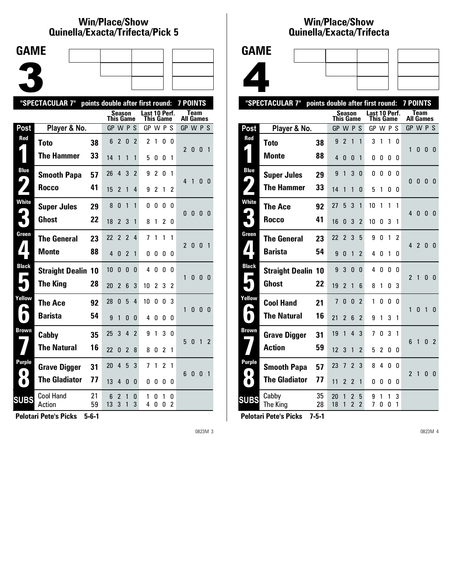## **Win/Place/Show Qui nel la/Exacta/Tri fecta/Pick 5**

| <b>GAME</b> |  |  |
|-------------|--|--|
|             |  |  |
|             |  |  |
|             |  |  |

| "SPECTACULAR 7"<br>points double after first round:<br>7 POINTS |                            |          |                  |                |                |                |                            |                |                |                     |                |              |              |                |
|-----------------------------------------------------------------|----------------------------|----------|------------------|----------------|----------------|----------------|----------------------------|----------------|----------------|---------------------|----------------|--------------|--------------|----------------|
|                                                                 |                            |          | <b>This Game</b> | Season         |                |                | Last 10 Perf.<br>This Game |                |                |                     | All Games      | <b>Team</b>  |              |                |
| Post                                                            | Player & No.               |          | GP W P S         |                |                |                | GP W P S                   |                |                |                     | GP W P S       |              |              |                |
| Red                                                             | <b>Toto</b>                | 38       | 6                | $\overline{2}$ | $\bf{0}$       | $\overline{2}$ | $\overline{c}$             | 1              | 0              | 0                   | $\mathfrak{p}$ | 0            | 0            | $\overline{1}$ |
|                                                                 | The Hammer                 | 33       | 14               | 1              | 1              | 1              | 5                          | 0              | 0              | 1                   |                |              |              |                |
| <b>Blue</b><br>4                                                | <b>Smooth Papa</b>         | 57       | 26               | 4              | 3              | $\overline{2}$ | 9                          | $\overline{2}$ | 0              | 1                   | 4              | 1            | 0            | - 0            |
|                                                                 | Rocco                      | 41       | 15               | 2              | 1              | 4              | 9                          | 2              | 1              | 2                   |                |              |              |                |
| <b>White</b>                                                    | <b>Super Jules</b>         | 29       | 8                | 0              | $\mathbf{1}$   | 1              | 0                          | 0              | 0              | 0                   | $\mathbf{0}$   | 0            | 0            | - 0            |
|                                                                 | <b>Ghost</b>               | 22       | 18               | $\overline{2}$ | 3              | 1              | 8                          | 1              | $\overline{2}$ | 0                   |                |              |              |                |
| Green                                                           | <b>The General</b>         | 23       | 22               | $\overline{2}$ | $\overline{2}$ | 4              | 7                          | 1              | 1              | 1                   | 2              | $\Omega$     | ŋ            | $\mathbf{1}$   |
|                                                                 | <b>Monte</b>               | 88       | 4                | $\Omega$       | $\overline{2}$ | 1              | 0                          | 0              | 0              | 0                   |                |              |              |                |
| <b>Black</b>                                                    | <b>Straight Dealin 10</b>  |          | 10               | $\Omega$       | $\Omega$       | 0              | 4                          | $\mathbf{0}$   | $\Omega$       | <sup>0</sup>        | 1              | 0            | 0            | - 0            |
|                                                                 | <b>The King</b>            | 28       | 20               | $\overline{2}$ | 6              | 3              | 10                         | $\overline{c}$ | 3              | 2                   |                |              |              |                |
| Yellow                                                          | The Ace                    | 92       | 28               | 0              | 5              | 4              | 10                         | 0              | 0              | 3                   | 1              | 0            | $\mathbf{0}$ | - 0            |
| $\overline{\mathbf{D}}$                                         | <b>Barista</b>             | 54       | 9                | 1              | 0              | $\Omega$       | 4                          | 0              | 0              | 0                   |                |              |              |                |
| Brown                                                           | Cabby                      | 35       | 25               | 3              | 4              | $\overline{2}$ | 9                          | 1              | 3              | 0                   | 5              | $\mathbf{0}$ |              | 1 <sub>2</sub> |
|                                                                 | <b>The Natural</b>         | 16       | 22               | 0              | $\overline{2}$ | 8              | 8                          | 0              | $\overline{2}$ | 1                   |                |              |              |                |
| Purple                                                          | <b>Grave Digger</b>        | 31       | 20               | $\overline{4}$ | 5              | 3              | 7                          | 1              | $\overline{2}$ | 1                   | 6              | 0            | $\mathbf{0}$ | 1              |
| $\bullet$                                                       | <b>The Gladiator</b>       | 77       | 13               | 4              | 0              | 0              | 0                          | 0              | 0              | 0                   |                |              |              |                |
| <b>SUBS</b>                                                     | <b>Cool Hand</b><br>Action | 21<br>59 | 6<br>13          | 2<br>3         | 1<br>1         | 0<br>3         | 1<br>4                     | 0<br>0         | 1<br>0         | 0<br>$\overline{c}$ |                |              |              |                |

**Pelotari Pete's Picks 5-6-1**

0823M 3

## **Win/Place/Show Qui nel la/Exacta/Tri fecta**



|                                      | "SPECTACULAR 7"           | points double after first round: |                |                          |                     |                     |                            |          |              |               | <b>7 POINTS</b>          |                |                |                |
|--------------------------------------|---------------------------|----------------------------------|----------------|--------------------------|---------------------|---------------------|----------------------------|----------|--------------|---------------|--------------------------|----------------|----------------|----------------|
|                                      |                           |                                  | This Game      | <b>Season</b>            |                     |                     | Last 10 Perf.<br>This Game |          |              |               | All Games                | <b>Team</b>    |                |                |
| Post                                 | Player & No.              |                                  | GP W P S       |                          |                     |                     | GP W P S                   |          |              |               | GP W P S                 |                |                |                |
| Red                                  | Toto                      | 38                               | 9              | $\overline{2}$           | 1                   | 1                   | 3                          | 1        | 1            | 0             |                          |                |                |                |
|                                      | <b>Monte</b>              | 88                               | 4              | 0                        | 0                   | 1                   | 0                          | 0        | 0            | 0             | 1                        | 0              | 0              | $\Omega$       |
| <b>Blue</b><br>$\blacktriangleright$ | <b>Super Jules</b>        | 29                               | 9              | 1                        | 3                   | 0                   | 0                          | 0        | 0            | $\Omega$      | $\Omega$                 | $\mathbf{0}$   | $\mathbf{0}$   | $\mathbf{0}$   |
|                                      | <b>The Hammer</b>         | 33                               | 14             | 1                        | 1                   | 0                   | 5                          | 1        | 0            | 0             |                          |                |                |                |
| <b>White</b>                         | <b>The Ace</b>            | 92                               | 27             | 5                        | 3                   | 1                   | 10                         | 1        | $\mathbf{1}$ | 1             | 4                        | 0              | 0              | - 0            |
|                                      | <b>Rocco</b>              | 41                               | 16             | 0                        | 3                   | $\overline{2}$      | 10                         | 0        | 3            | 1             |                          |                |                |                |
| Green                                | <b>The General</b>        | 23                               | 22             | $\overline{\phantom{a}}$ | 3                   | 5                   | 9                          | $\Omega$ | $\mathbf{1}$ | $\mathfrak z$ | 4                        | $\overline{2}$ | 0              | $\mathbf{0}$   |
| 71                                   | <b>Barista</b>            | 54                               | 9              | 0                        | 1                   | 2                   | 4                          | 0        | 1            | 0             |                          |                |                |                |
| <b>Black</b><br>■                    | <b>Straight Dealin 10</b> |                                  | 9              | 3                        | 0                   | 0                   | 4                          | 0        | 0            | $\mathbf{0}$  | $\overline{2}$           | $\mathbf{1}$   | 0              | $\Omega$       |
|                                      | <b>Ghost</b>              | 22                               | 19             | 2                        | 1                   | 6                   | 8                          | 1        | 0            | 3             |                          |                |                |                |
| Yellow                               | <b>Cool Hand</b>          | 21                               | $\overline{7}$ | 0                        | 0                   | $\overline{2}$      | 1                          | 0        | 0            | 0             | 1                        | $\mathbf{0}$   | $\overline{1}$ | $\mathbf{0}$   |
| I.                                   | <b>The Natural</b>        | 16                               | 21             | $\overline{2}$           | 6                   | $\overline{2}$      | 9                          | 1        | 3            | 1             |                          |                |                |                |
| Brown                                | <b>Grave Digger</b>       | 31                               | 19             | 1                        | $\overline{4}$      | 3                   | 7                          | 0        | 3            | 1             | 6                        | 1              | 0              | $\overline{2}$ |
|                                      | <b>Action</b>             | 59                               | 12             | 3                        | 1                   | $\overline{2}$      | 5                          | 2        | 0            | 0             |                          |                |                |                |
| Purple<br>$\bullet$                  | <b>Smooth Papa</b>        | 57                               | 23             | 7                        | $\overline{2}$      | 3                   | 8                          | 4        | 0            | 0             | $\overline{\phantom{a}}$ | $\mathbf{1}$   | 0              | $\mathbf{0}$   |
| $\bullet$                            | <b>The Gladiator</b>      | 77                               | 11             | 2                        | $\overline{2}$      | 1                   | 0                          | 0        | 0            | 0             |                          |                |                |                |
| <b>SUBS</b>                          | Cabby<br>The King         | 35<br>28                         | 20<br>18       | 1<br>1                   | 2<br>$\overline{2}$ | 5<br>$\overline{2}$ | 9<br>7                     | 1<br>0   | 1<br>0       | 3<br>1        |                          |                |                |                |
|                                      |                           |                                  |                |                          |                     |                     |                            |          |              |               |                          |                |                |                |

**Pelotari Pete's Picks 7-5-1**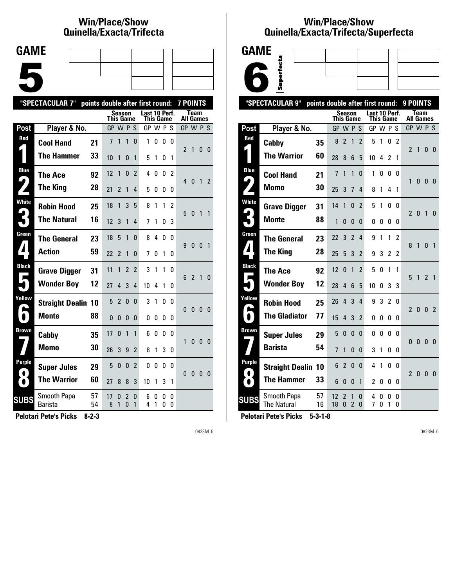# **Win/Place/Show Qui nel la/Exacta/Tri fecta**

| <b>GAME</b> |  |  |
|-------------|--|--|
|             |  |  |
|             |  |  |
|             |  |  |
|             |  |  |
|             |  |  |
|             |  |  |
|             |  |  |

|              | "SPECTACULAR 7"           | points double after first round: |           |                |                |                |                            |        |          |              | <b>7 POINTS</b> |                |                |                |
|--------------|---------------------------|----------------------------------|-----------|----------------|----------------|----------------|----------------------------|--------|----------|--------------|-----------------|----------------|----------------|----------------|
|              |                           |                                  | This Game |                | Season         |                | Last 10 Perf.<br>This Game |        |          |              | All Games       | Team           |                |                |
| Post         | Player & No.              |                                  | GP W P S  |                |                |                | GP W P S                   |        |          |              | GP W P S        |                |                |                |
| Red          | <b>Cool Hand</b>          | 21                               | 7         | 1              | 1              | 0              | 1                          | 0      | 0        | 0            | $\mathfrak z$   | 1              | 0              | - 0            |
|              | <b>The Hammer</b>         | 33                               | 10        | 1              | 0              | 1              | 5                          | 1      | 0        | 1            |                 |                |                |                |
| <b>Blue</b>  | <b>The Ace</b>            | 92                               | 12        | 1              | 0              | $\mathfrak z$  | 4                          | 0      | 0        | 2            | 40              |                | 1              | 2              |
|              | <b>The King</b>           | 28                               | 21        | 2              | 1              | 4              | 5                          | 0      | 0        | 0            |                 |                |                |                |
| <b>White</b> | <b>Robin Hood</b>         | 25                               | 18        | 1              | 3              | 5              | 8                          | 1      | 1        | 2            | 5               | 0              | 1              | $\overline{1}$ |
|              | <b>The Natural</b>        | 16                               | 12        | 3              | 1              | 4              | 7                          | 1      | 0        | 3            |                 |                |                |                |
| Green        | <b>The General</b>        | 23                               | 18        | 5              | 1              | <sup>0</sup>   | 8                          | 4      | $\Omega$ | <sup>0</sup> | 9               | $\theta$       | $\mathbf{0}$   | $\overline{1}$ |
|              | <b>Action</b>             | 59                               | 22        | 2              | 1              | 0              | 7                          | 0      | 1        | 0            |                 |                |                |                |
| <b>Black</b> | <b>Grave Digger</b>       | 31                               | 11        | 1              | $\overline{2}$ | $\overline{2}$ | 3                          | 1      | 1        | 0            | 6               | $\overline{2}$ | 1              | 0              |
|              | <b>Wonder Boy</b>         | 12                               | 27        | 4              | 3              | 4              | 10                         | 4      | 1        | 0            |                 |                |                |                |
| Yellow       | <b>Straight Dealin 10</b> |                                  | 5         | $\overline{2}$ | 0              | $\Omega$       | 3                          | 1      | 0        | 0            | $\Omega$        | $\mathbf{0}$   | 0 <sub>0</sub> |                |
| $\bullet$    | <b>Monte</b>              | 88                               | $\Omega$  | $\Omega$       | $\Omega$       | 0              | 0                          | 0      | 0        | 0            |                 |                |                |                |
| <b>Brown</b> | Cabby                     | 35                               | 17        | $\mathbf{0}$   | $\mathbf{1}$   | 1              | 6                          | 0      | 0        | 0            | 1               | 0              | 0              | - 0            |
|              | Momo                      | 30                               | 26        | 3              | 9              | 2              | 8                          | 1      | 3        | 0            |                 |                |                |                |
| Purple       | <b>Super Jules</b>        | 29                               | 5         | $\mathbf{0}$   | $\mathbf{0}$   | $\overline{2}$ | 0                          | 0      | 0        | 0            | $\Omega$        | 0              | 0              | - 0            |
|              | <b>The Warrior</b>        | 60                               | 27        | 8              | 8              | 3              | 10                         | 1      | 3        | 1            |                 |                |                |                |
| <b>SUBS</b>  | Smooth Papa<br>Barista    | 57<br>54                         | 17<br>8   | 0<br>1         | 2<br>$\Omega$  | 0<br>1         | 6<br>4                     | 0<br>1 | 0<br>0   | 0<br>0       |                 |                |                |                |
|              |                           |                                  |           |                |                |                |                            |        |          |              |                 |                |                |                |

**Pelotari Pete's Picks 8-2-3**

0823M 5

### **Win/Place/Show Qui nel la/Exacta/Tri fecta/Super fecta**



|                     | "SPECTACULAR 9"                   | points double after first round: |                  |                |                               |                |                            |        |                |               | 9 POINTS         |              |                |                          |
|---------------------|-----------------------------------|----------------------------------|------------------|----------------|-------------------------------|----------------|----------------------------|--------|----------------|---------------|------------------|--------------|----------------|--------------------------|
|                     |                                   |                                  | <b>This Game</b> | <b>Season</b>  |                               |                | Last 10 Perf.<br>This Game |        |                |               | <b>All Games</b> | <b>Team</b>  |                |                          |
| Post                | Player & No.                      |                                  | GP W P S         |                |                               |                | GP W P S                   |        |                |               | GP W P S         |              |                |                          |
| Red                 | Cabby                             | 35                               | 8                | $\overline{2}$ | 1                             | $\overline{2}$ | 5                          | 1      | 0              | $\mathcal{P}$ |                  |              |                |                          |
|                     | <b>The Warrior</b>                | 60                               | 28               | 8              | 6                             | 5              | 10                         | 4      | 2              | 1             | 2                | 1            | 0              | $\mathbf{0}$             |
| <b>Blue</b>         | <b>Cool Hand</b>                  | 21                               | 7                | 1              | 1                             | 0              | 1                          | 0      | 0              | 0             |                  |              |                |                          |
| $\blacklozenge$     | Momo                              | 30                               | 25               | 3              | 7                             | 4              | 8                          | 1      | 4              | 1             | 1                | $\mathbf{0}$ | $\mathbf{0}$   | $\mathbf{0}$             |
| <b>White</b>        | <b>Grave Digger</b>               | 31                               | 14               | 1              | 0                             | $\overline{2}$ | 5                          | 1      | 0              | 0             | $\overline{2}$   | $\mathbf{0}$ | $\overline{1}$ | 0                        |
|                     | <b>Monte</b>                      | 88                               | 1                | 0              | $\Omega$                      | 0              | 0                          | 0      | 0              | 0             |                  |              |                |                          |
| Green               | <b>The General</b>                | 23                               | 22               | 3              | $\overline{\phantom{a}}$      | 4              | 9                          | 1      | 1              | $\mathfrak z$ | 8                | $\mathbf{1}$ | $\mathbf{0}$   | $\overline{1}$           |
| $\blacksquare$      | <b>The King</b>                   | 28                               | 25               | 5              | 3                             | 2              | 9                          | 3      | $\overline{2}$ | 2             |                  |              |                |                          |
| <b>Black</b>        | The Ace                           | 92                               | 12               | 0              | 1                             | $\overline{2}$ | 5                          | 0      | 1              | 1             | 5                | $\mathbf{1}$ | $\overline{2}$ | $\overline{1}$           |
|                     | <b>Wonder Boy</b>                 | 12                               | 28               | 4              | 6                             | 5              | 10                         | 0      | 3              | 3             |                  |              |                |                          |
| Yellow              | <b>Robin Hood</b>                 | 25                               | 26               | 4              | 3                             | 4              | 9                          | 3      | $\overline{2}$ | 0             | $\mathfrak z$    | 0            | $\mathbf{0}$   | $\overline{\phantom{a}}$ |
|                     | <b>The Gladiator</b>              | 77                               | 15               | 4              | 3                             | $\overline{2}$ | O                          | 0      | 0              | 0             |                  |              |                |                          |
| Brown               | <b>Super Jules</b>                | 29                               | 5                | $\mathbf{0}$   | 0                             | 0              | 0                          | 0      | 0              | 0             | 0                | 0            | $\bf{0}$       | $\theta$                 |
|                     | <b>Barista</b>                    | 54                               | 7                | 1              | 0                             | 0              | 3                          | 1      | 0              | 0             |                  |              |                |                          |
| Purple<br>$\bullet$ | <b>Straight Dealin</b>            | 10                               | 6                | $\overline{2}$ | 0                             | 0              | 4                          | 1      | 0              | 0             | $\mathfrak{p}$   | 0            | $\mathbf{0}$   | - 0                      |
| O.                  | <b>The Hammer</b>                 | 33                               | 6                | 0              | 0                             | 1              | 2                          | 0      | 0              | 0             |                  |              |                |                          |
| <b>SUBS</b>         | Smooth Papa<br><b>The Natural</b> | 57<br>16                         | 12<br>18         | 2<br>$\Omega$  | 1<br>$\overline{\phantom{a}}$ | 0<br>0         | 4<br>7                     | 0<br>0 | 0<br>1         | 0<br>0        |                  |              |                |                          |
|                     |                                   |                                  |                  |                |                               |                |                            |        |                |               |                  |              |                |                          |

**Pelotari Pete's Picks 5-3-1-8**